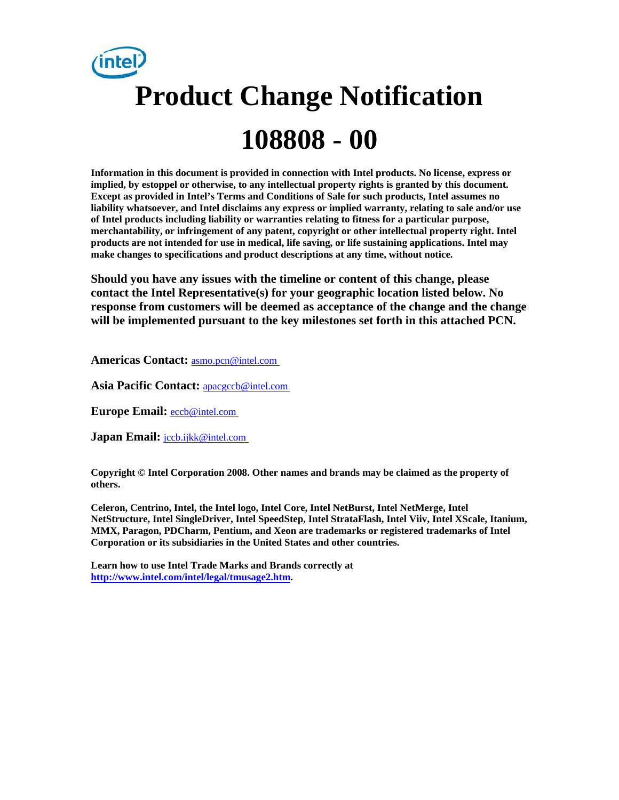# **Product Change Notification 108808 - 00**

**Information in this document is provided in connection with Intel products. No license, express or implied, by estoppel or otherwise, to any intellectual property rights is granted by this document. Except as provided in Intel's Terms and Conditions of Sale for such products, Intel assumes no liability whatsoever, and Intel disclaims any express or implied warranty, relating to sale and/or use of Intel products including liability or warranties relating to fitness for a particular purpose, merchantability, or infringement of any patent, copyright or other intellectual property right. Intel products are not intended for use in medical, life saving, or life sustaining applications. Intel may make changes to specifications and product descriptions at any time, without notice.** 

**Should you have any issues with the timeline or content of this change, please contact the Intel Representative(s) for your geographic location listed below. No response from customers will be deemed as acceptance of the change and the change will be implemented pursuant to the key milestones set forth in this attached PCN.** 

**Americas Contact:** [asmo.pcn@intel.com](mailto:asmo.pcn@intel.com) 

**Asia Pacific Contact:** [apacgccb@intel.com](mailto:apacgccb@intel.com) 

Europe Email: **eccb@intel.com** 

**Japan Email:** *jccb.ijkk@intel.com* 

**Copyright © Intel Corporation 2008. Other names and brands may be claimed as the property of others.**

**Celeron, Centrino, Intel, the Intel logo, Intel Core, Intel NetBurst, Intel NetMerge, Intel NetStructure, Intel SingleDriver, Intel SpeedStep, Intel StrataFlash, Intel Viiv, Intel XScale, Itanium, MMX, Paragon, PDCharm, Pentium, and Xeon are trademarks or registered trademarks of Intel Corporation or its subsidiaries in the United States and other countries.** 

**Learn how to use Intel Trade Marks and Brands correctly at [http://www.intel.com/intel/legal/tmusage2.htm.](http://www.intel.com/intel/legal/tmusage2.htm)**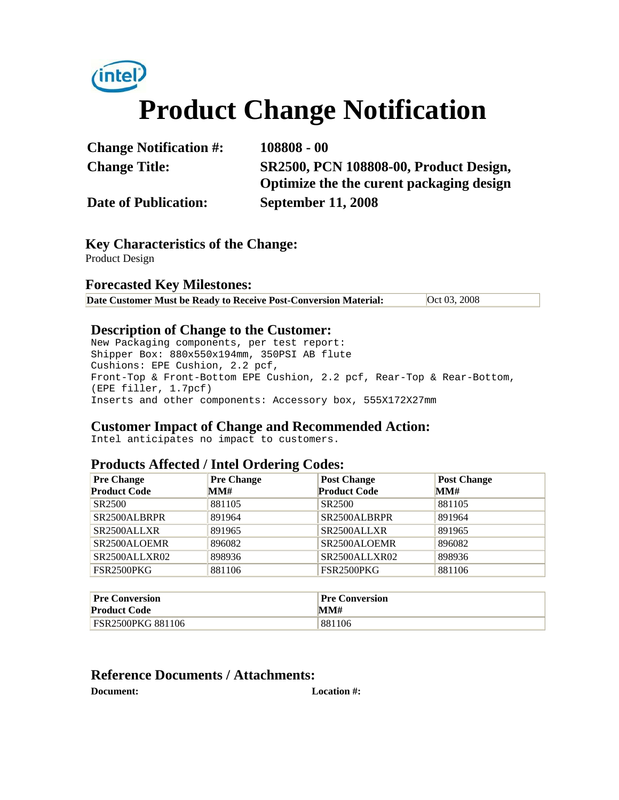

| <b>Change Notification #:</b> | $108808 - 00$                            |
|-------------------------------|------------------------------------------|
| <b>Change Title:</b>          | SR2500, PCN 108808-00, Product Design,   |
|                               | Optimize the the curent packaging design |
| <b>Date of Publication:</b>   | <b>September 11, 2008</b>                |

**Key Characteristics of the Change:** Product Design

## **Forecasted Key Milestones:**

| Date Customer Must be Ready to Receive Post-Conversion Material: | Oct 03, 2008 |
|------------------------------------------------------------------|--------------|
|------------------------------------------------------------------|--------------|

# **Description of Change to the Customer:**

New Packaging components, per test report: Shipper Box: 880x550x194mm, 350PSI AB flute Cushions: EPE Cushion, 2.2 pcf, Front-Top & Front-Bottom EPE Cushion, 2.2 pcf, Rear-Top & Rear-Bottom, (EPE filler, 1.7pcf) Inserts and other components: Accessory box, 555X172X27mm

# **Customer Impact of Change and Recommended Action:**

Intel anticipates no impact to customers.

## **Products Affected / Intel Ordering Codes:**

| <b>Pre Change</b>                      | <b>Pre Change</b> | <b>Post Change</b>       | <b>Post Change</b> |
|----------------------------------------|-------------------|--------------------------|--------------------|
| <b>Product Code</b>                    | MM#               | <b>Product Code</b>      | MM#                |
| SR <sub>2500</sub>                     | 881105            | SR <sub>2500</sub>       | 881105             |
| SR2500ALBRPR                           | 891964            | SR2500ALBRPR             | 891964             |
| SR2500ALLXR                            | 891965            | SR <sub>2500</sub> ALLXR | 891965             |
| SR2500ALOEMR                           | 896082            | SR2500ALOEMR             | 896082             |
| SR <sub>2500</sub> ALLXR <sub>02</sub> | 898936            | SR2500ALLXR02            | 898936             |
| <b>FSR2500PKG</b>                      | 881106            | <b>FSR2500PKG</b>        | 881106             |

| <b>Pre Conversion</b>    | <b>Pre Conversion</b> |
|--------------------------|-----------------------|
| <b>Product Code</b>      | MM#                   |
| <b>FSR2500PKG 881106</b> | 881106                |

## **Reference Documents / Attachments:**

**Document: Location #:**